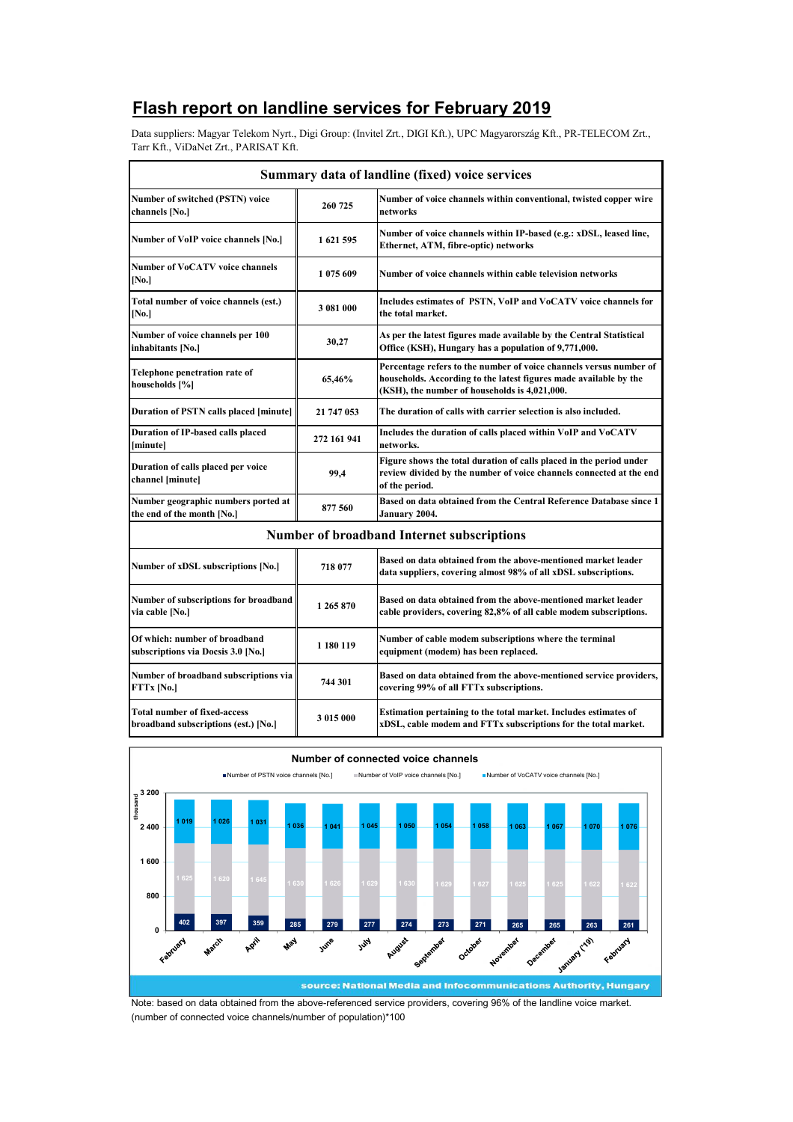## **Flash report on landline services for February 2019**

Data suppliers: Magyar Telekom Nyrt., Digi Group: (Invitel Zrt., DIGI Kft.), UPC Magyarország Kft., PR-TELECOM Zrt., Tarr Kft., ViDaNet Zrt., PARISAT Kft.

|                                                                             |             | Summary data of landline (fixed) voice services                                                                                                                                          |
|-----------------------------------------------------------------------------|-------------|------------------------------------------------------------------------------------------------------------------------------------------------------------------------------------------|
| <b>Number of switched (PSTN) voice</b><br>channels [No.]                    | 260 725     | Number of voice channels within conventional, twisted copper wire<br>networks                                                                                                            |
| Number of VoIP voice channels [No.]                                         | 1621595     | Number of voice channels within IP-based (e.g.: xDSL, leased line,<br>Ethernet, ATM, fibre-optic) networks                                                                               |
| <b>Number of VoCATV voice channels</b><br>[No.]                             | 1 075 609   | Number of voice channels within cable television networks                                                                                                                                |
| Total number of voice channels (est.)<br>[N <sub>0</sub> ]                  | 3 081 000   | Includes estimates of PSTN, VoIP and VoCATV voice channels for<br>the total market.                                                                                                      |
| Number of voice channels per 100<br>inhabitants [No.]                       | 30,27       | As per the latest figures made available by the Central Statistical<br>Office (KSH), Hungary has a population of 9,771,000.                                                              |
| Telephone penetration rate of<br>households [%]                             | 65,46%      | Percentage refers to the number of voice channels versus number of<br>households. According to the latest figures made available by the<br>(KSH), the number of households is 4,021,000. |
| Duration of PSTN calls placed [minute]                                      | 21 747 053  | The duration of calls with carrier selection is also included.                                                                                                                           |
| Duration of IP-based calls placed<br>[minute]                               | 272 161 941 | Includes the duration of calls placed within VoIP and VoCATV<br>networks.                                                                                                                |
| Duration of calls placed per voice<br>channel [minute]                      | 99,4        | Figure shows the total duration of calls placed in the period under<br>review divided by the number of voice channels connected at the end<br>of the period.                             |
| Number geographic numbers ported at<br>the end of the month [No.]           | 877 560     | Based on data obtained from the Central Reference Database since 1<br>January 2004.                                                                                                      |
|                                                                             |             | <b>Number of broadband Internet subscriptions</b>                                                                                                                                        |
| Number of xDSL subscriptions [No.]                                          | 718 077     | Based on data obtained from the above-mentioned market leader<br>data suppliers, covering almost 98% of all xDSL subscriptions.                                                          |
| <b>Number of subscriptions for broadband</b><br>via cable [No.]             | 1 265 870   | Based on data obtained from the above-mentioned market leader<br>cable providers, covering 82,8% of all cable modem subscriptions.                                                       |
| Of which: number of broadband<br>subscriptions via Docsis 3.0 [No.]         | 1 180 119   | Number of cable modem subscriptions where the terminal<br>equipment (modem) has been replaced.                                                                                           |
| Number of broadband subscriptions via<br>FTTx [No.]                         | 744 301     | Based on data obtained from the above-mentioned service providers,<br>covering 99% of all FTTx subscriptions.                                                                            |
| <b>Total number of fixed-access</b><br>broadband subscriptions (est.) [No.] | 3 015 000   | Estimation pertaining to the total market. Includes estimates of<br>xDSL, cable modem and FTTx subscriptions for the total market.                                                       |



Note: based on data obtained from the above-referenced service providers, covering 96% of the landline voice market. (number of connected voice channels/number of population)\*100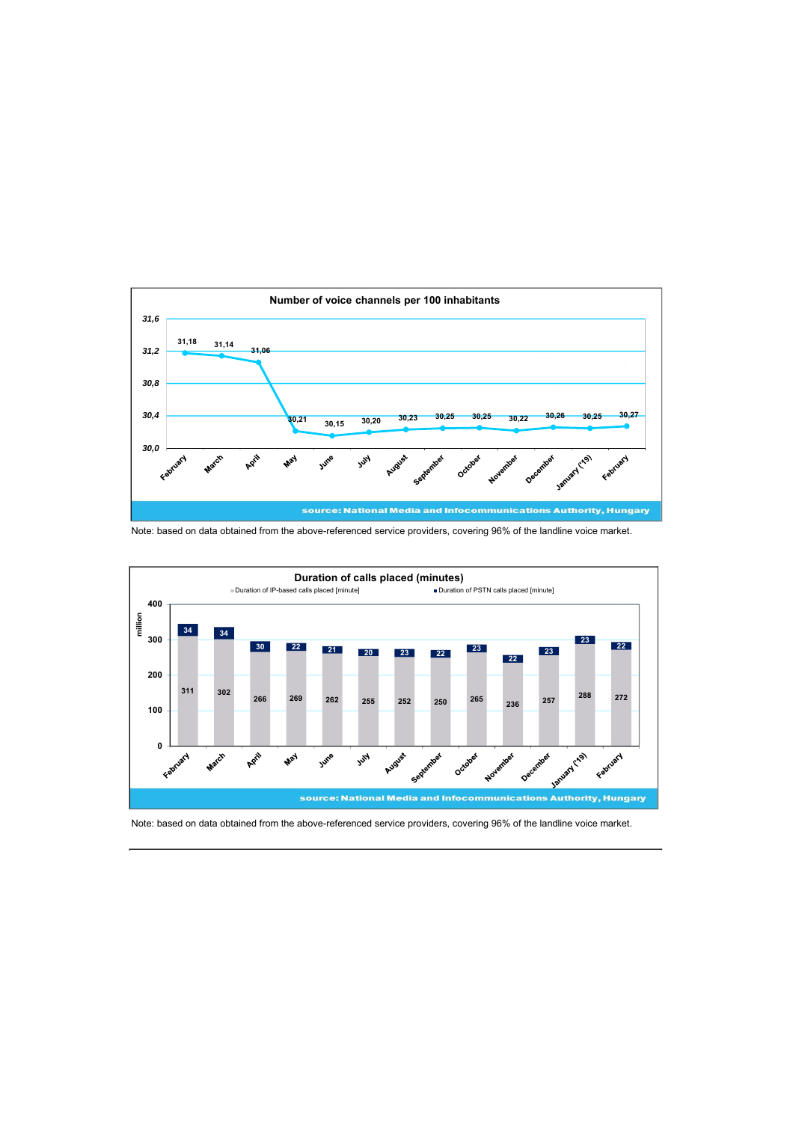

Note: based on data obtained from the above-referenced service providers, covering 96% of the landline voice market.



Note: based on data obtained from the above-referenced service providers, covering 96% of the landline voice market.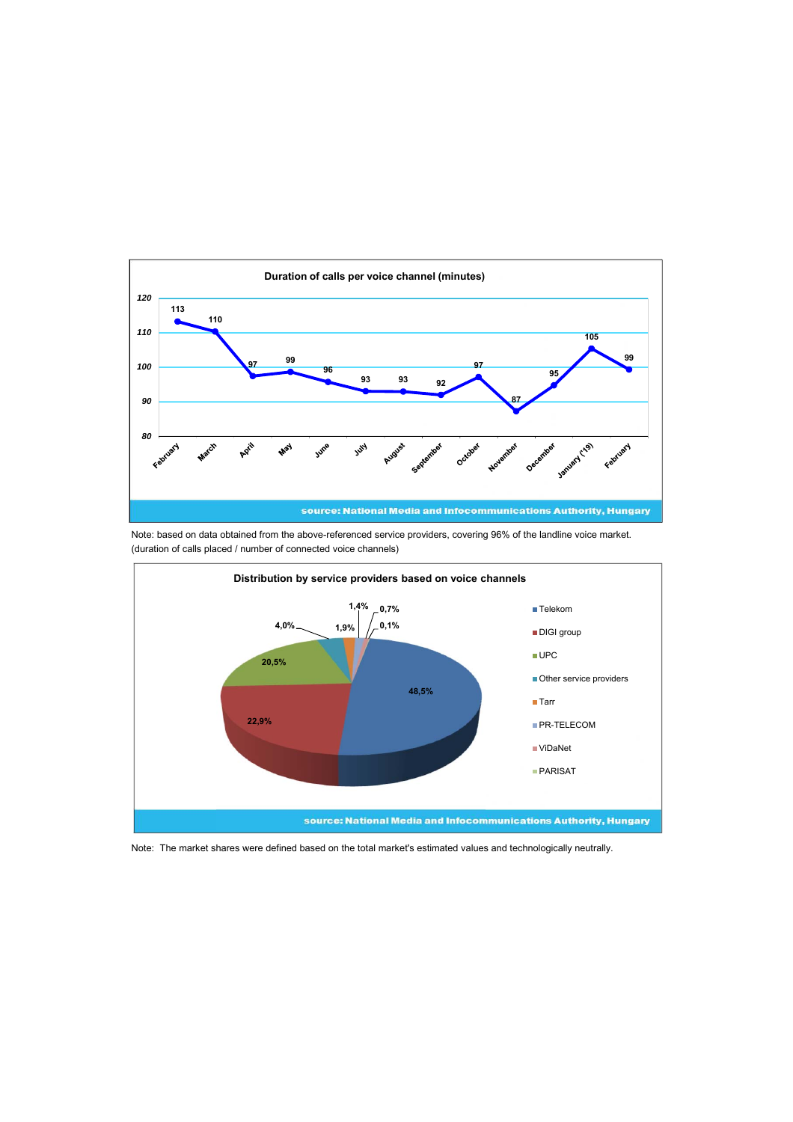

Note: based on data obtained from the above-referenced service providers, covering 96% of the landline voice market. (duration of calls placed / number of connected voice channels)



Note: The market shares were defined based on the total market's estimated values and technologically neutrally.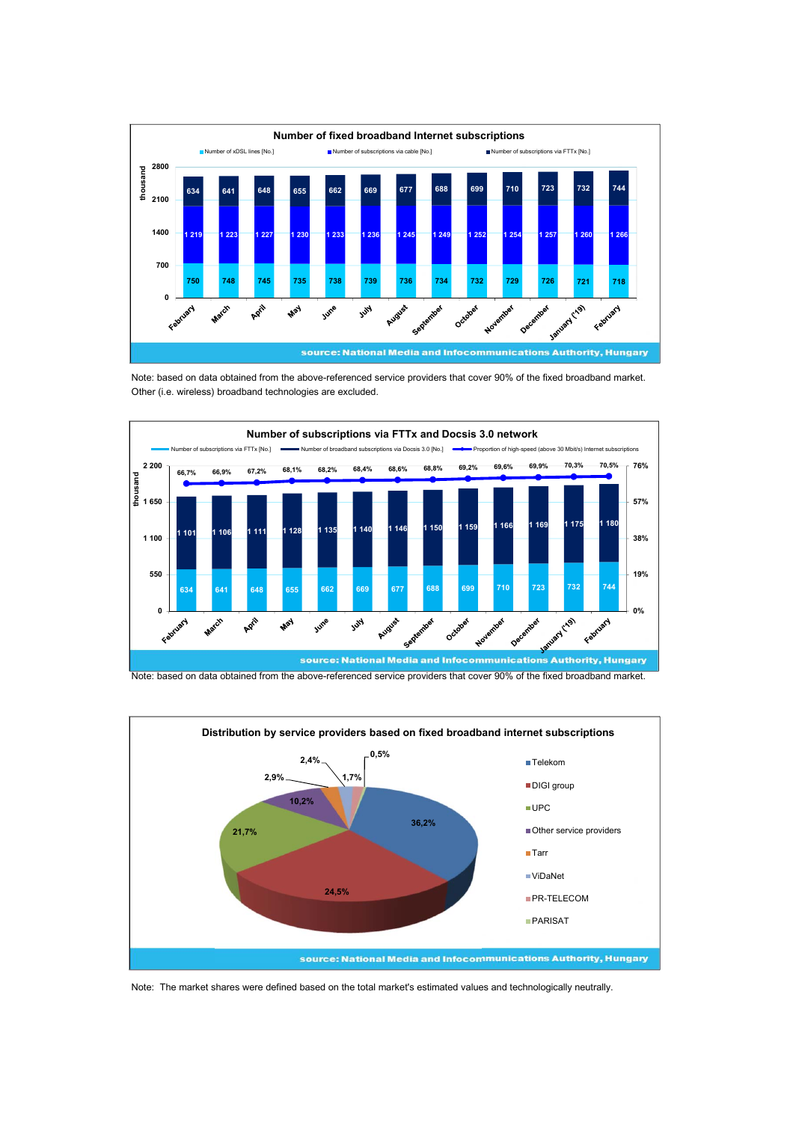

Note: based on data obtained from the above-referenced service providers that cover 90% of the fixed broadband market. Other (i.e. wireless) broadband technologies are excluded.



Note: based on data obtained from the above-referenced service providers that cover 90% of the fixed broadband market.



Note: The market shares were defined based on the total market's estimated values and technologically neutrally.